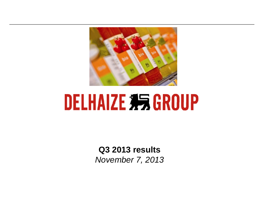

# **DELHAIZE 35 GROUP**

**Q3 2013 results** *November 7, 2013*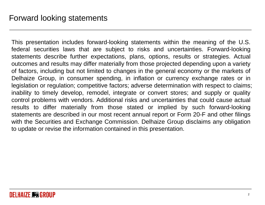This presentation includes forward-looking statements within the meaning of the U.S. federal securities laws that are subject to risks and uncertainties. Forward-looking statements describe further expectations, plans, options, results or strategies. Actual outcomes and results may differ materially from those projected depending upon <sup>a</sup> variety of factors, including but not limited to changes in the general economy or the markets of Delhaize Group, in consumer spending, in inflation or currency exchange rates or in legislation or regulation; competitive factors; adverse determination with respect to claims; inability to timely develop, remodel, integrate or convert stores; and supply or quality control problems with vendors. Additional risks and uncertainties that could cause actual results to differ materially from those stated or implied by such forward-looking statements are described in our most recent annual report or Form 20-F and other filings with the Securities and Exchange Commission. Delhaize Group disclaims any obligation to update or revise the information contained in this presentation.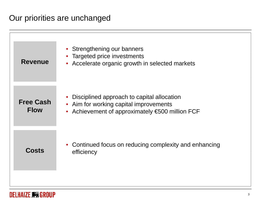#### Our priorities are unchanged

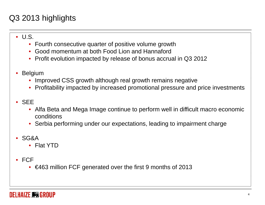## Q3 2013 highlights

#### • U.S.

- Fourth consecutive quarter of positive volume growth
- Good momentum at both Food Lion and Hannaford
- Profit evolution impacted by release of bonus accrual in Q3 2012
- • Belgium
	- Improved CSS growth although real growth remains negative
	- Profitability impacted by increased promotional pressure and price investments
- SEE
	- Alfa Beta and Mega Image continue to perform well in difficult macro economic conditions
	- Serbia performing under our expectations, leading to impairment charge
- SG&A
	- Flat YTD
- FCF
	- €463 million FCF generated over the first 9 months of 2013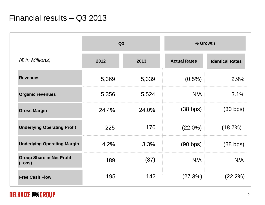|                                            | Q3    |       | % Growth            |                        |
|--------------------------------------------|-------|-------|---------------------|------------------------|
| $(\epsilon$ in Millions)                   | 2012  | 2013  | <b>Actual Rates</b> | <b>Identical Rates</b> |
| <b>Revenues</b>                            | 5,369 | 5,339 | $(0.5\%)$           | 2.9%                   |
| <b>Organic revenues</b>                    | 5,356 | 5,524 | N/A                 | 3.1%                   |
| <b>Gross Margin</b>                        | 24.4% | 24.0% | (38 bps)            | (30 bps)               |
| <b>Underlying Operating Profit</b>         | 225   | 176   | $(22.0\%)$          | (18.7%)                |
| <b>Underlying Operating Margin</b>         | 4.2%  | 3.3%  | (90 bps)            | (88 bps)               |
| <b>Group Share in Net Profit</b><br>(Loss) | 189   | (87)  | N/A                 | N/A                    |
| <b>Free Cash Flow</b>                      | 195   | 142   | (27.3%)             | $(22.2\%)$             |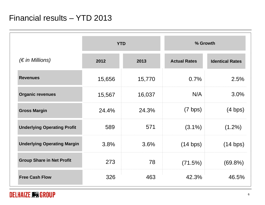|                                    | <b>YTD</b> |        | % Growth            |                        |
|------------------------------------|------------|--------|---------------------|------------------------|
| $(\epsilon$ in Millions)           | 2012       | 2013   | <b>Actual Rates</b> | <b>Identical Rates</b> |
| <b>Revenues</b>                    | 15,656     | 15,770 | 0.7%                | 2.5%                   |
| <b>Organic revenues</b>            | 15,567     | 16,037 | N/A                 | 3.0%                   |
| <b>Gross Margin</b>                | 24.4%      | 24.3%  | $(7 \text{ bps})$   | $(4 \text{ bps})$      |
| <b>Underlying Operating Profit</b> | 589        | 571    | $(3.1\%)$           | $(1.2\%)$              |
| <b>Underlying Operating Margin</b> | 3.8%       | 3.6%   | (14 bps)            | (14 bps)               |
| <b>Group Share in Net Profit</b>   | 273        | 78     | (71.5%)             | $(69.8\%)$             |
| <b>Free Cash Flow</b>              | 326        | 463    | 42.3%               | 46.5%                  |

#### **DELHAIZE # GROUP**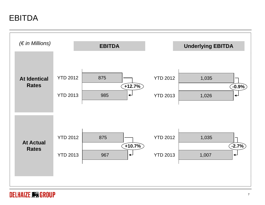EBITDA



#### **DELHAIZE #5 GROUP**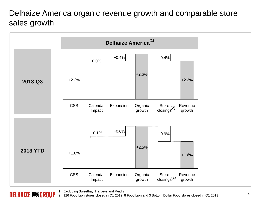## Delhaize America organic revenue growth and comparable store sales growth

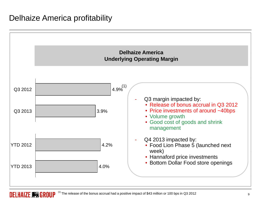#### Delhaize America profitability

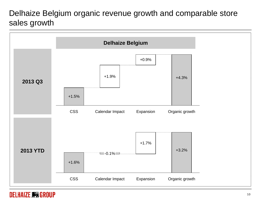## Delhaize Belgium organic revenue growth and comparable store sales growth



#### DELHAIZE # GROUP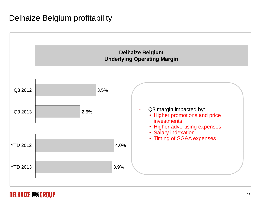#### Delhaize Belgium profitability



#### DELHAIZE # GROUP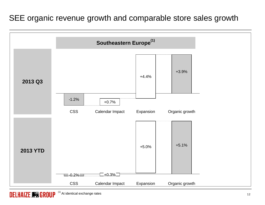## SEE organic revenue growth and comparable store sales growth

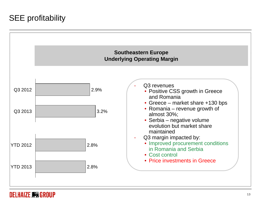## SEE profitability



#### DELHAIZE **\$5** GROUP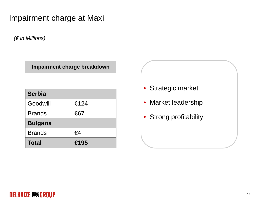*(€ in Millions)*

**Impairment charge breakdown**

| <b>Serbia</b>   |                |
|-----------------|----------------|
| Goodwill        | €124           |
| <b>Brands</b>   | €67            |
| <b>Bulgaria</b> |                |
| <b>Brands</b>   | €4             |
| <b>Total</b>    | $\epsilon$ 195 |

• Strategic market 4 | | Market leadership • Strong profitability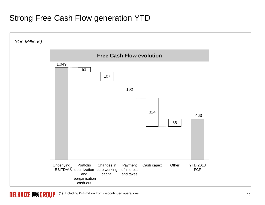#### Strong Free Cash Flow generation YTD

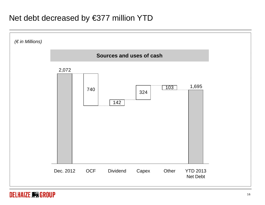#### Net debt decreased by €377 million YTD

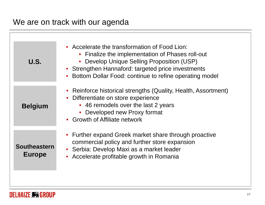## We are on track with our agenda

| U.S.                                 | • Accelerate the transformation of Food Lion:<br>• Finalize the implementation of Phases roll-out<br>• Develop Unique Selling Proposition (USP)<br>• Strengthen Hannaford: targeted price investments<br>Bottom Dollar Food: continue to refine operating model |
|--------------------------------------|-----------------------------------------------------------------------------------------------------------------------------------------------------------------------------------------------------------------------------------------------------------------|
| <b>Belgium</b>                       | • Reinforce historical strengths (Quality, Health, Assortment)<br>Differentiate on store experience<br>• 46 remodels over the last 2 years<br>• Developed new Proxy format<br>• Growth of Affiliate network                                                     |
| <b>Southeastern</b><br><b>Europe</b> | • Further expand Greek market share through proactive<br>commercial policy and further store expansion<br>• Serbia: Develop Maxi as a market leader<br>Accelerate profitable growth in Romania                                                                  |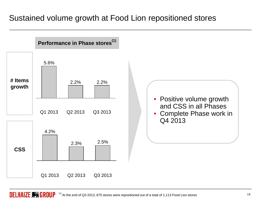#### Sustained volume growth at Food Lion repositioned stores

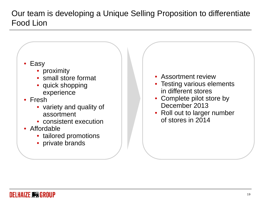Our team is developing a Unique Selling Proposition to differentiate Food Lion